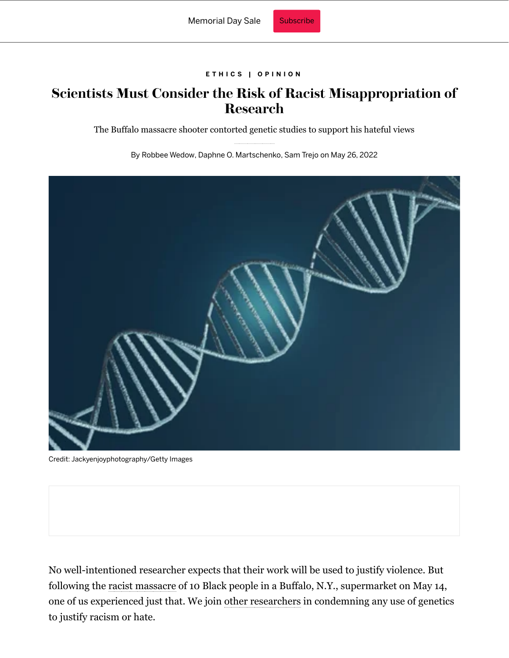## **[E T H I C S |](https://www.scientificamerican.com/ethics/) [O P I N I O N](https://www.scientificamerican.com/section/opinion/)**

## **Scientists Must Consider the Risk of Racist Misappropriation of Research**

The Buffalo massacre shooter contorted genetic studies to support his hateful views

By [Robbee Wedow,](https://www.scientificamerican.com/author/robbee-wedow/) [Daphne O. Martschenko,](https://www.scientificamerican.com/author/daphne-o-martschenko/) [Sam Trejo](https://www.scientificamerican.com/author/sam-trejo/) on May 26, 2022



Credit: [Jackyenjoyphotography/Getty Images](https://www.gettyimages.com/detail/photo/illustration-3d-dna-spin-futuristic-digital-royalty-free-image/1215957171?adppopup=true)

No well-intentioned researcher expects that their work will be used to justify violence. But following the [racist massacre](https://www.scientificamerican.com/article/science-must-not-be-used-to-foster-white-supremacy/) of 10 Black people in a Buffalo, N.Y., supermarket on May 14, one of us experienced just that. We join [other researchers](https://www.colorado.edu/ibg/2022/05/19/ibg-statement-response-buffalo-shooting) in condemning any use of genetics to justify racism or hate.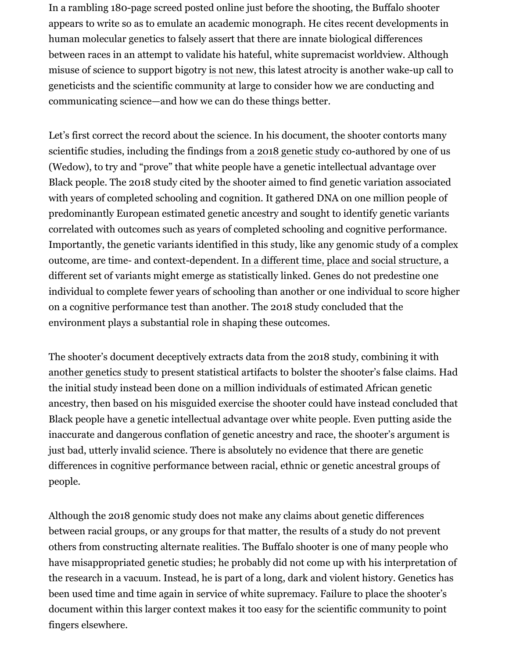In a rambling 180-page screed posted online just before the shooting, the Buffalo shooter appears to write so as to emulate an academic monograph. He cites recent developments in human molecular genetics to falsely assert that there are innate biological differences between races in an attempt to validate his hateful, white supremacist worldview. Although misuse of science to support bigotry [is not new,](https://www.nytimes.com/2018/10/17/us/white-supremacists-science-dna.html) this latest atrocity is another wake-up call to geneticists and the scientific community at large to consider how we are conducting and communicating science—and how we can do these things better.

Let's first correct the record about the science. In his document, the shooter contorts many scientific studies, including the findings from [a 2018 genetic study](https://www.nature.com/articles/s41588-018-0147-3) co-authored by one of us (Wedow), to try and "prove" that white people have a genetic intellectual advantage over Black people. The 2018 study cited by the shooter aimed to find genetic variation associated with years of completed schooling and cognition. It gathered DNA on one million people of predominantly European estimated genetic ancestry and sought to identify genetic variants correlated with outcomes such as years of completed schooling and cognitive performance. Importantly, the genetic variants identified in this study, like any genomic study of a complex outcome, are time- and context-dependent. [In a different time, place and social structure,](https://www.wsj.com/articles/genetic-scoring-presents-opportunity-peril-11580762369) a different set of variants might emerge as statistically linked. Genes do not predestine one individual to complete fewer years of schooling than another or one individual to score higher on a cognitive performance test than another. The 2018 study concluded that the environment plays a substantial role in shaping these outcomes.

The shooter's document deceptively extracts data from the 2018 study, combining it with [another genetics study](https://www.internationalgenome.org/1000-genomes-summary) to present statistical artifacts to bolster the shooter's false claims. Had the initial study instead been done on a million individuals of estimated African genetic ancestry, then based on his misguided exercise the shooter could have instead concluded that Black people have a genetic intellectual advantage over white people. Even putting aside the inaccurate and dangerous conflation of genetic ancestry and race, the shooter's argument is just bad, utterly invalid science. There is absolutely no evidence that there are genetic differences in cognitive performance between racial, ethnic or genetic ancestral groups of people.

Although the 2018 genomic study does not make any claims about genetic differences between racial groups, or any groups for that matter, the results of a study do not prevent others from constructing alternate realities. The Buffalo shooter is one of many people who have misappropriated genetic studies; he probably did not come up with his interpretation of the research in a vacuum. Instead, he is part of a long, dark and violent history. Genetics has been used time and time again in service of white supremacy. Failure to place the shooter's document within this larger context makes it too easy for the scientific community to point fingers elsewhere.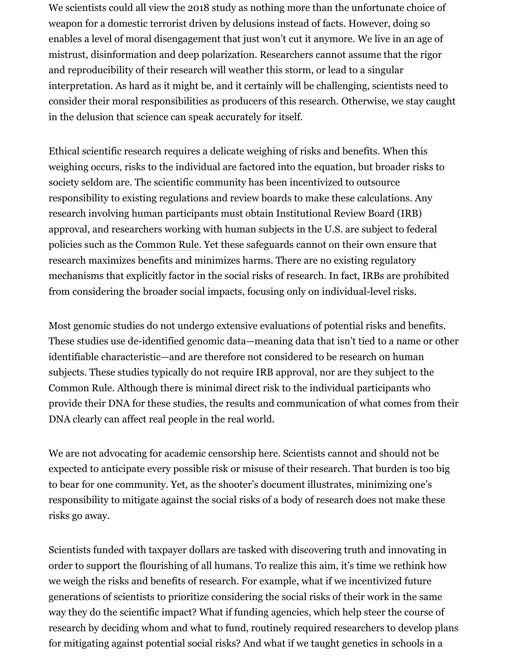We scientists could all view the 2018 study as nothing more than the unfortunate choice of weapon for a domestic terrorist driven by delusions instead of facts. However, doing so enables a level of moral disengagement that just won't cut it anymore. We live in an age of mistrust, disinformation and deep polarization. Researchers cannot assume that the rigor and reproducibility of their research will weather this storm, or lead to a singular interpretation. As hard as it might be, and it certainly will be challenging, scientists need to consider their moral responsibilities as producers of this research. Otherwise, we stay caught in the delusion that science can speak accurately for itself.

Ethical scientific research requires a delicate weighing of risks and benefits. When this weighing occurs, risks to the individual are factored into the equation, but broader risks to society seldom are. The scientific community has been incentivized to outsource responsibility to existing regulations and review boards to make these calculations. Any research involving human participants must obtain Institutional Review Board (IRB) approval, and researchers working with human subjects in the U.S. are subject to federal policies such as the [Common Rule.](https://www.hhs.gov/ohrp/regulations-and-policy/regulations/common-rule/index.html) Yet these safeguards cannot on their own ensure that research maximizes benefits and minimizes harms. There are no existing regulatory mechanisms that explicitly factor in the social risks of research. In fact, IRBs are prohibited from considering the broader social impacts, focusing only on individual-level risks.

Most genomic studies do not undergo extensive evaluations of potential risks and benefits. These studies use de-identified genomic data—meaning data that isn't tied to a name or other identifiable characteristic—and are therefore not considered to be research on human subjects. These studies typically do not require IRB approval, nor are they subject to the Common Rule. Although there is minimal direct risk to the individual participants who provide their DNA for these studies, the results and communication of what comes from their DNA clearly can affect real people in the real world.

We are not advocating for academic censorship here. Scientists cannot and should not be expected to anticipate every possible risk or misuse of their research. That burden is too big to bear for one community. Yet, as the shooter's document illustrates, minimizing one's responsibility to mitigate against the social risks of a body of research does not make these risks go away.

Scientists funded with taxpayer dollars are tasked with discovering truth and innovating in order to support the flourishing of all humans. To realize this aim, it's time we rethink how we weigh the risks and benefits of research. For example, what if we incentivized future generations of scientists to prioritize considering the social risks of their work in the same way they do the scientific impact? What if funding agencies, which help steer the course of research by deciding whom and what to fund, routinely required researchers to develop plans for mitigating against potential social risks? And what if we taught genetics in schools in a